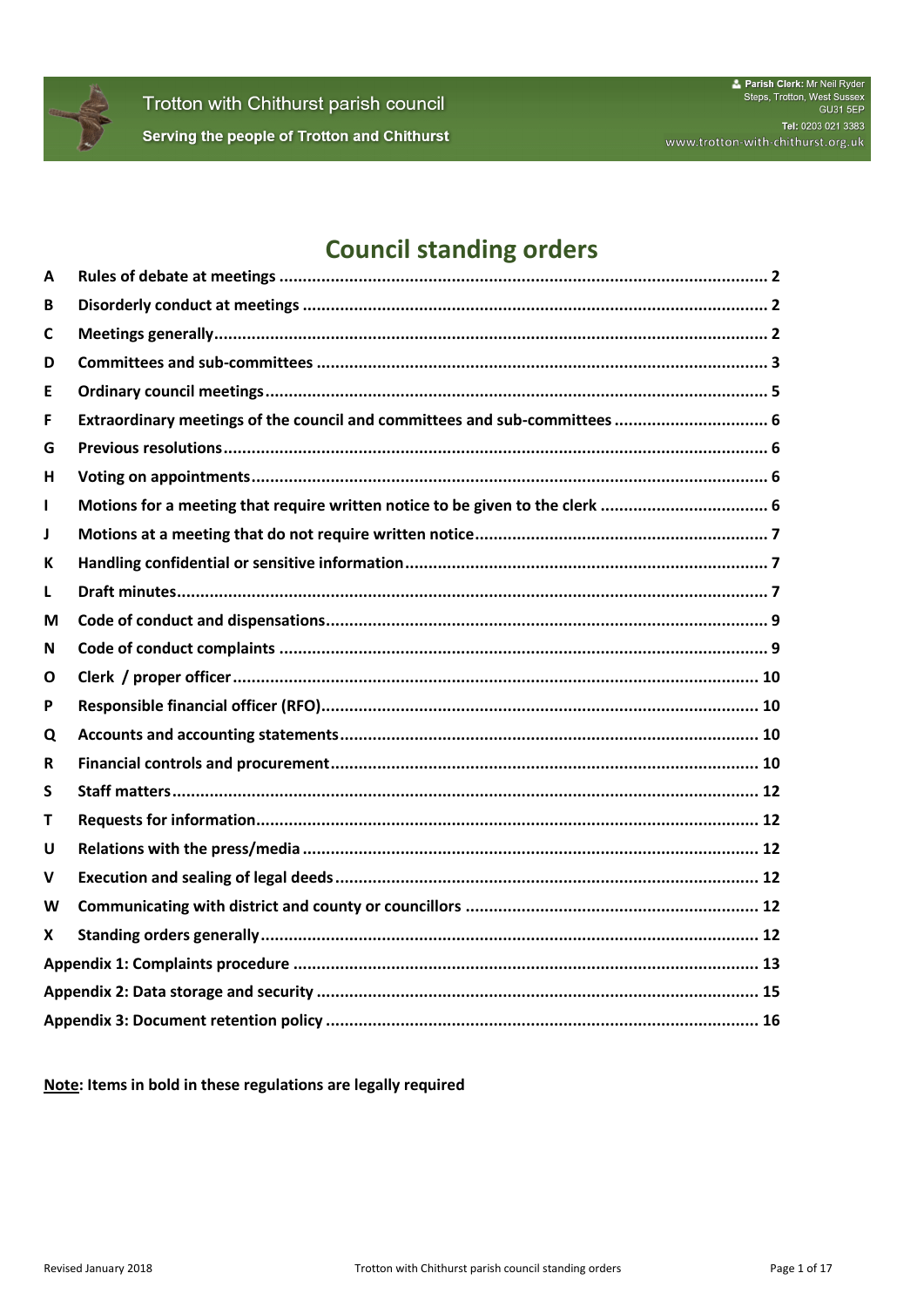

# **Council standing orders**

| A |                                                                               |  |  |  |
|---|-------------------------------------------------------------------------------|--|--|--|
| В |                                                                               |  |  |  |
| C |                                                                               |  |  |  |
| D |                                                                               |  |  |  |
| Ε |                                                                               |  |  |  |
| F | Extraordinary meetings of the council and committees and sub-committees  6    |  |  |  |
| G |                                                                               |  |  |  |
| H |                                                                               |  |  |  |
| I | Motions for a meeting that require written notice to be given to the clerk  6 |  |  |  |
| J |                                                                               |  |  |  |
| К |                                                                               |  |  |  |
| L |                                                                               |  |  |  |
| М |                                                                               |  |  |  |
| N |                                                                               |  |  |  |
| Ο |                                                                               |  |  |  |
| P |                                                                               |  |  |  |
| Q |                                                                               |  |  |  |
| R |                                                                               |  |  |  |
| S |                                                                               |  |  |  |
| т |                                                                               |  |  |  |
| U |                                                                               |  |  |  |
| v |                                                                               |  |  |  |
| W |                                                                               |  |  |  |
| X |                                                                               |  |  |  |
|   |                                                                               |  |  |  |
|   |                                                                               |  |  |  |
|   |                                                                               |  |  |  |

Note: Items in bold in these regulations are legally required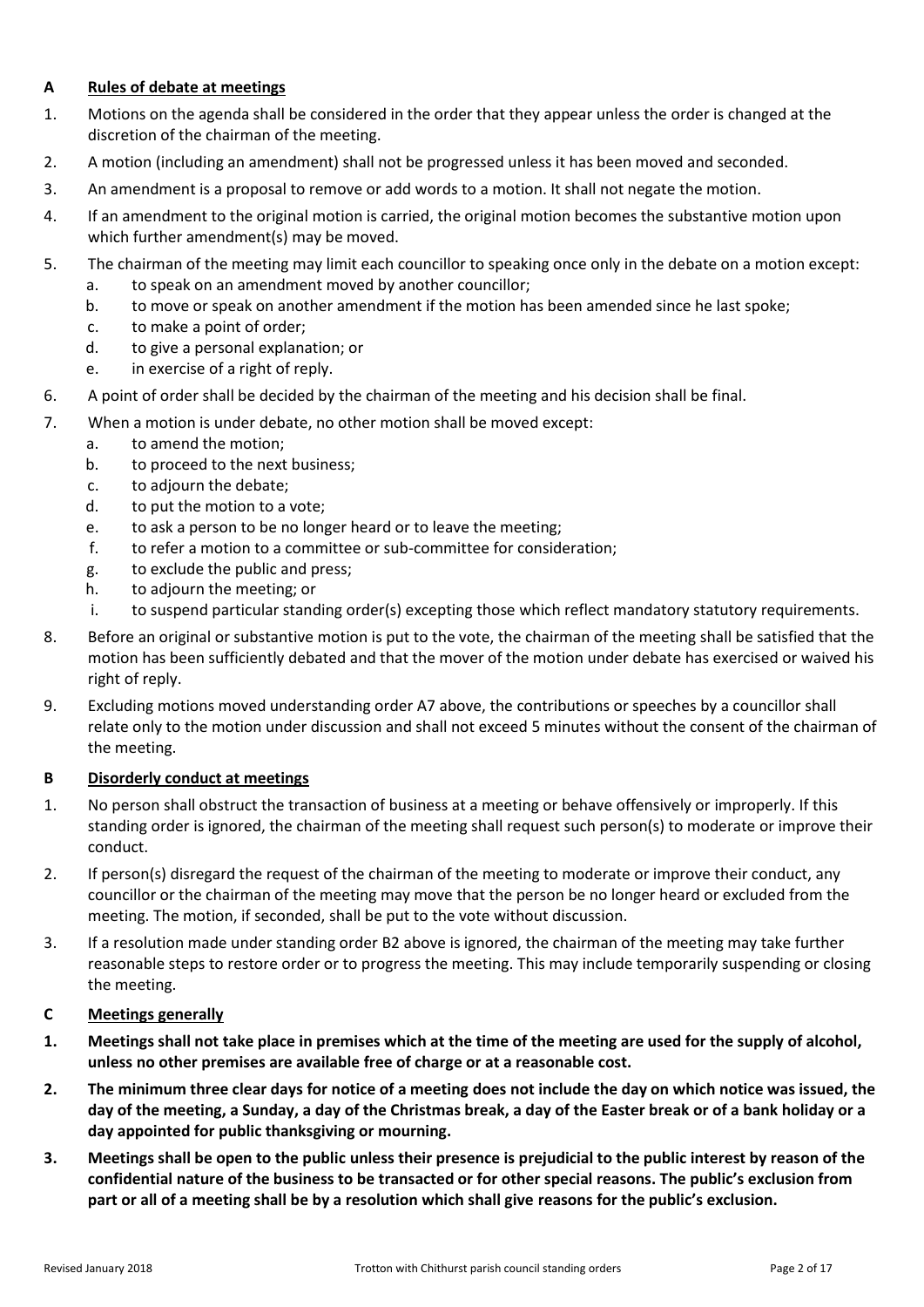### <span id="page-1-0"></span>**A Rules of debate at meetings**

- 1. Motions on the agenda shall be considered in the order that they appear unless the order is changed at the discretion of the chairman of the meeting.
- 2. A motion (including an amendment) shall not be progressed unless it has been moved and seconded.
- 3. An amendment is a proposal to remove or add words to a motion. It shall not negate the motion.
- 4. If an amendment to the original motion is carried, the original motion becomes the substantive motion upon which further amendment(s) may be moved.
- 5. The chairman of the meeting may limit each councillor to speaking once only in the debate on a motion except:
	- a. to speak on an amendment moved by another councillor;
	- b. to move or speak on another amendment if the motion has been amended since he last spoke;
	- c. to make a point of order;
	- d. to give a personal explanation; or
	- e. in exercise of a right of reply.
- 6. A point of order shall be decided by the chairman of the meeting and his decision shall be final.
- <span id="page-1-3"></span>7. When a motion is under debate, no other motion shall be moved except:
	- a. to amend the motion;
	- b. to proceed to the next business;
	- c. to adjourn the debate;
	- d. to put the motion to a vote;
	- e. to ask a person to be no longer heard or to leave the meeting;
	- f. to refer a motion to a committee or sub-committee for consideration;
	- g. to exclude the public and press;
	- h. to adjourn the meeting; or
	- i. to suspend particular standing order(s) excepting those which reflect mandatory statutory requirements.
- 8. Before an original or substantive motion is put to the vote, the chairman of the meeting shall be satisfied that the motion has been sufficiently debated and that the mover of the motion under debate has exercised or waived his right of reply.
- 9. Excluding motions moved understanding orde[r A7](#page-1-3) above, the contributions or speeches by a councillor shall relate only to the motion under discussion and shall not exceed 5 minutes without the consent of the chairman of the meeting.

### <span id="page-1-1"></span>**B Disorderly conduct at meetings**

- 1. No person shall obstruct the transaction of business at a meeting or behave offensively or improperly. If this standing order is ignored, the chairman of the meeting shall request such person(s) to moderate or improve their conduct.
- <span id="page-1-4"></span>2. If person(s) disregard the request of the chairman of the meeting to moderate or improve their conduct, any councillor or the chairman of the meeting may move that the person be no longer heard or excluded from the meeting. The motion, if seconded, shall be put to the vote without discussion.
- 3. If a resolution made under standing order [B2](#page-1-4) above is ignored, the chairman of the meeting may take further reasonable steps to restore order or to progress the meeting. This may include temporarily suspending or closing the meeting.

# <span id="page-1-2"></span>**C Meetings generally**

- **1. Meetings shall not take place in premises which at the time of the meeting are used for the supply of alcohol, unless no other premises are available free of charge or at a reasonable cost.**
- <span id="page-1-5"></span>**2. The minimum three clear days for notice of a meeting does not include the day on which notice was issued, the day of the meeting, a Sunday, a day of the Christmas break, a day of the Easter break or of a bank holiday or a day appointed for public thanksgiving or mourning.**
- <span id="page-1-6"></span>**3. Meetings shall be open to the public unless their presence is prejudicial to the public interest by reason of the confidential nature of the business to be transacted or for other special reasons. The public's exclusion from part or all of a meeting shall be by a resolution which shall give reasons for the public's exclusion.**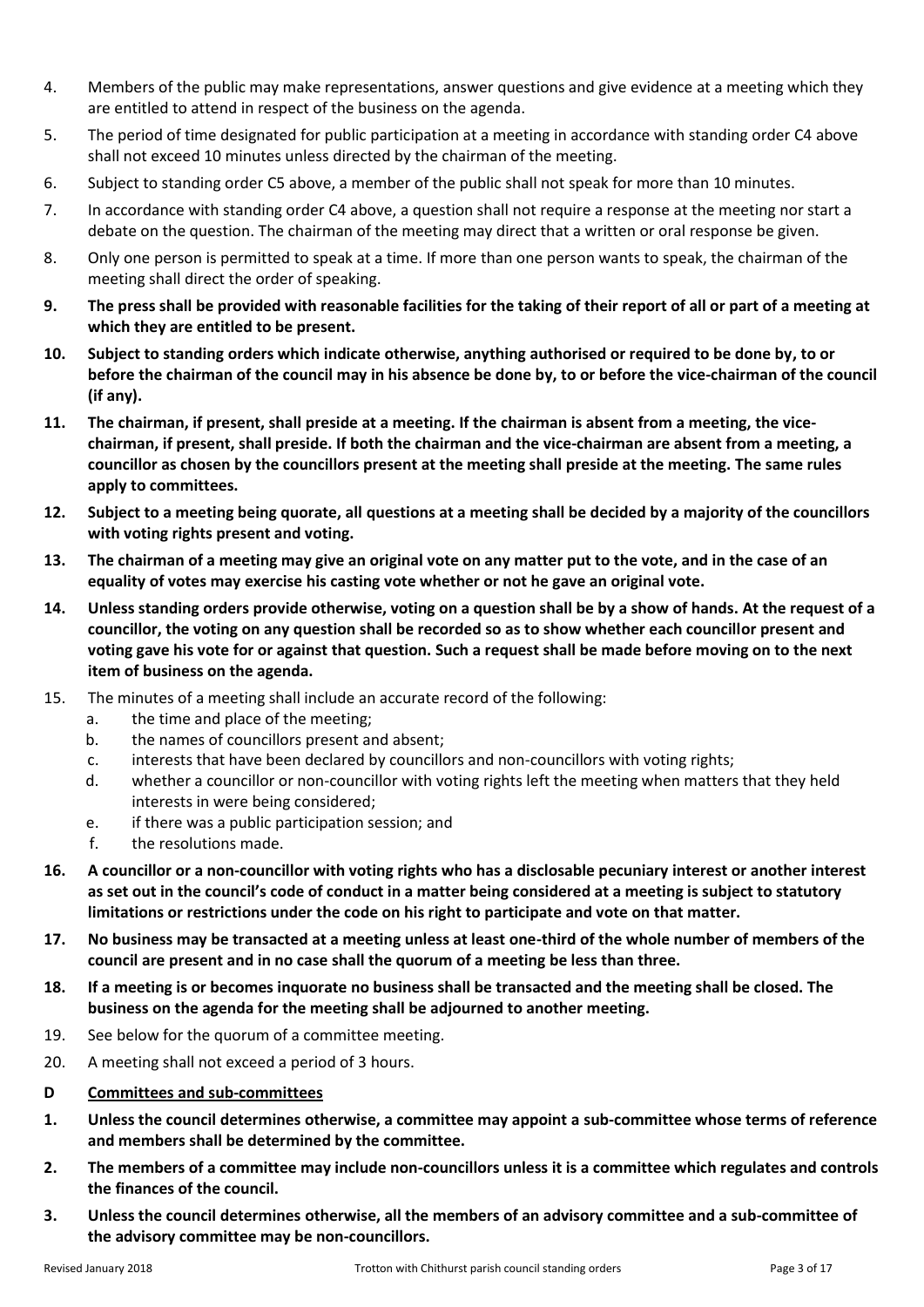- <span id="page-2-1"></span>4. Members of the public may make representations, answer questions and give evidence at a meeting which they are entitled to attend in respect of the business on the agenda.
- <span id="page-2-2"></span>5. The period of time designated for public participation at a meeting in accordance with standing order [C4](#page-2-1) above shall not exceed 10 minutes unless directed by the chairman of the meeting.
- 6. Subject to standing order [C5](#page-2-2) above, a member of the public shall not speak for more than 10 minutes.
- 7. In accordance with standing orde[r C4](#page-2-1) above, a question shall not require a response at the meeting nor start a debate on the question. The chairman of the meeting may direct that a written or oral response be given.
- 8. Only one person is permitted to speak at a time. If more than one person wants to speak, the chairman of the meeting shall direct the order of speaking.
- **9. The press shall be provided with reasonable facilities for the taking of their report of all or part of a meeting at which they are entitled to be present.**
- **10. Subject to standing orders which indicate otherwise, anything authorised or required to be done by, to or before the chairman of the council may in his absence be done by, to or before the vice-chairman of the council (if any).**
- **11. The chairman, if present, shall preside at a meeting. If the chairman is absent from a meeting, the vicechairman, if present, shall preside. If both the chairman and the vice-chairman are absent from a meeting, a councillor as chosen by the councillors present at the meeting shall preside at the meeting. The same rules apply to committees.**
- **12. Subject to a meeting being quorate, all questions at a meeting shall be decided by a majority of the councillors with voting rights present and voting.**
- **13. The chairman of a meeting may give an original vote on any matter put to the vote, and in the case of an equality of votes may exercise his casting vote whether or not he gave an original vote.**
- **14. Unless standing orders provide otherwise, voting on a question shall be by a show of hands. At the request of a councillor, the voting on any question shall be recorded so as to show whether each councillor present and voting gave his vote for or against that question. Such a request shall be made before moving on to the next item of business on the agenda.**
- 15. The minutes of a meeting shall include an accurate record of the following:
	- a. the time and place of the meeting;
	- b. the names of councillors present and absent;
	- c. interests that have been declared by councillors and non-councillors with voting rights;
	- d. whether a councillor or non-councillor with voting rights left the meeting when matters that they held interests in were being considered;
	- e. if there was a public participation session; and
	- f. the resolutions made.
- **16. A councillor or a non-councillor with voting rights who has a disclosable pecuniary interest or another interest as set out in the council's code of conduct in a matter being considered at a meeting is subject to statutory limitations or restrictions under the code on his right to participate and vote on that matter.**
- **17. No business may be transacted at a meeting unless at least one-third of the whole number of members of the council are present and in no case shall the quorum of a meeting be less than three.**
- **18. If a meeting is or becomes inquorate no business shall be transacted and the meeting shall be closed. The business on the agenda for the meeting shall be adjourned to another meeting.**
- 19. See below for the quorum of a committee meeting.
- 20. A meeting shall not exceed a period of 3 hours.
- <span id="page-2-0"></span>**D Committees and sub-committees**
- **1. Unless the council determines otherwise, a committee may appoint a sub-committee whose terms of reference and members shall be determined by the committee.**
- <span id="page-2-3"></span>**2. The members of a committee may include non-councillors unless it is a committee which regulates and controls the finances of the council.**
- <span id="page-2-4"></span>**3. Unless the council determines otherwise, all the members of an advisory committee and a sub-committee of the advisory committee may be non-councillors.**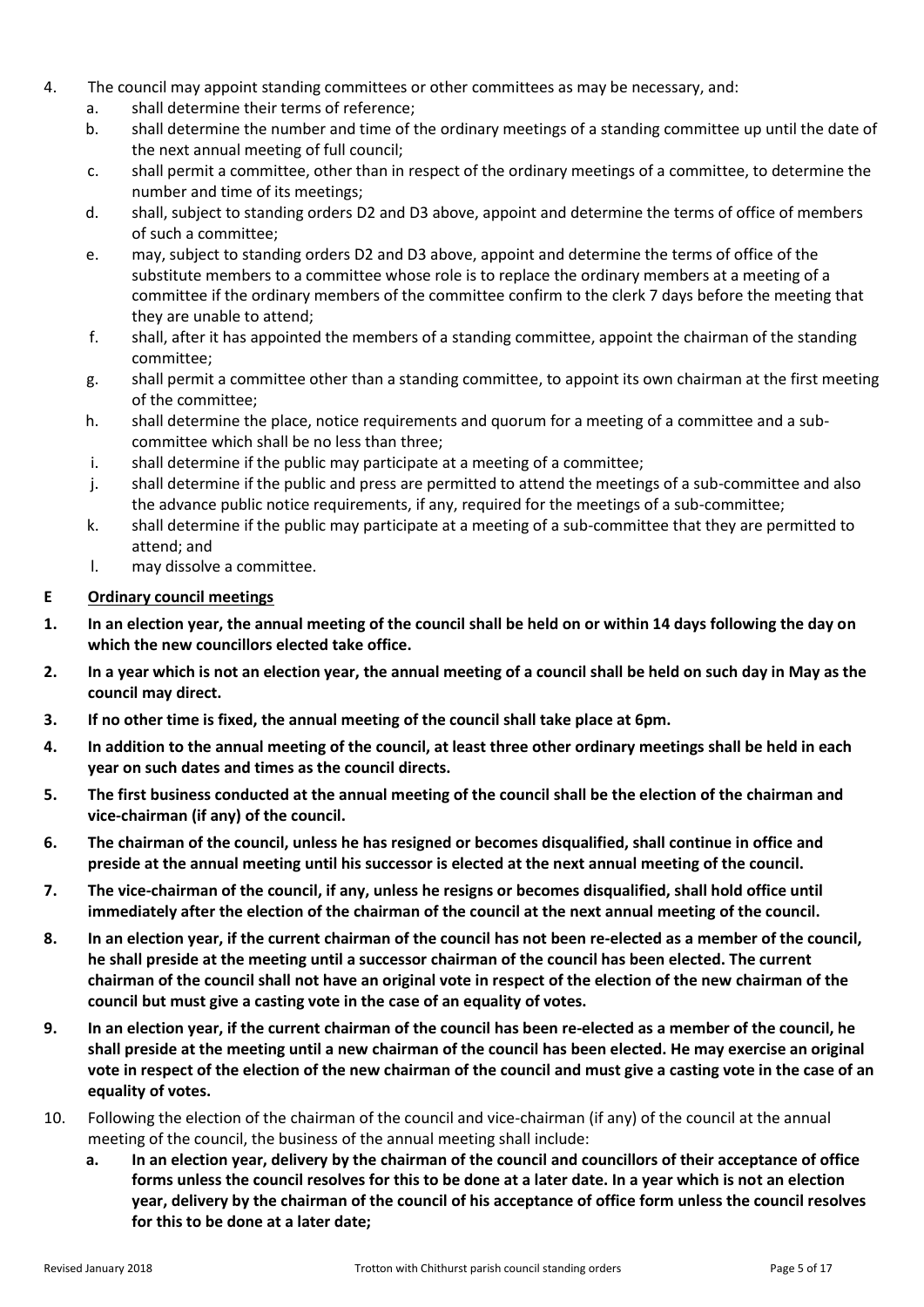- 4. The council may appoint standing committees or other committees as may be necessary, and:
	- a. shall determine their terms of reference;
	- b. shall determine the number and time of the ordinary meetings of a standing committee up until the date of the next annual meeting of full council;
	- c. shall permit a committee, other than in respect of the ordinary meetings of a committee, to determine the number and time of its meetings;
	- d. shall, subject to standing order[s D2](#page-2-3) and [D3](#page-2-4) above, appoint and determine the terms of office of members of such a committee;
	- e. may, subject to standing orders [D2](#page-2-3) an[d D3](#page-2-4) above, appoint and determine the terms of office of the substitute members to a committee whose role is to replace the ordinary members at a meeting of a committee if the ordinary members of the committee confirm to the clerk 7 days before the meeting that they are unable to attend;
	- f. shall, after it has appointed the members of a standing committee, appoint the chairman of the standing committee;
	- g. shall permit a committee other than a standing committee, to appoint its own chairman at the first meeting of the committee;
	- h. shall determine the place, notice requirements and quorum for a meeting of a committee and a subcommittee which shall be no less than three;
	- i. shall determine if the public may participate at a meeting of a committee;
	- j. shall determine if the public and press are permitted to attend the meetings of a sub-committee and also the advance public notice requirements, if any, required for the meetings of a sub-committee;
	- k. shall determine if the public may participate at a meeting of a sub-committee that they are permitted to attend; and
	- l. may dissolve a committee.

### <span id="page-4-0"></span>**E Ordinary council meetings**

- **1. In an election year, the annual meeting of the council shall be held on or within 14 days following the day on which the new councillors elected take office.**
- **2. In a year which is not an election year, the annual meeting of a council shall be held on such day in May as the council may direct.**
- **3. If no other time is fixed, the annual meeting of the council shall take place at 6pm.**
- **4. In addition to the annual meeting of the council, at least three other ordinary meetings shall be held in each year on such dates and times as the council directs.**
- **5. The first business conducted at the annual meeting of the council shall be the election of the chairman and vice-chairman (if any) of the council.**
- **6. The chairman of the council, unless he has resigned or becomes disqualified, shall continue in office and preside at the annual meeting until his successor is elected at the next annual meeting of the council.**
- **7. The vice-chairman of the council, if any, unless he resigns or becomes disqualified, shall hold office until immediately after the election of the chairman of the council at the next annual meeting of the council.**
- **8. In an election year, if the current chairman of the council has not been re-elected as a member of the council, he shall preside at the meeting until a successor chairman of the council has been elected. The current chairman of the council shall not have an original vote in respect of the election of the new chairman of the council but must give a casting vote in the case of an equality of votes.**
- **9. In an election year, if the current chairman of the council has been re-elected as a member of the council, he shall preside at the meeting until a new chairman of the council has been elected. He may exercise an original vote in respect of the election of the new chairman of the council and must give a casting vote in the case of an equality of votes.**
- 10. Following the election of the chairman of the council and vice-chairman (if any) of the council at the annual meeting of the council, the business of the annual meeting shall include:
	- **a. In an election year, delivery by the chairman of the council and councillors of their acceptance of office forms unless the council resolves for this to be done at a later date. In a year which is not an election year, delivery by the chairman of the council of his acceptance of office form unless the council resolves for this to be done at a later date;**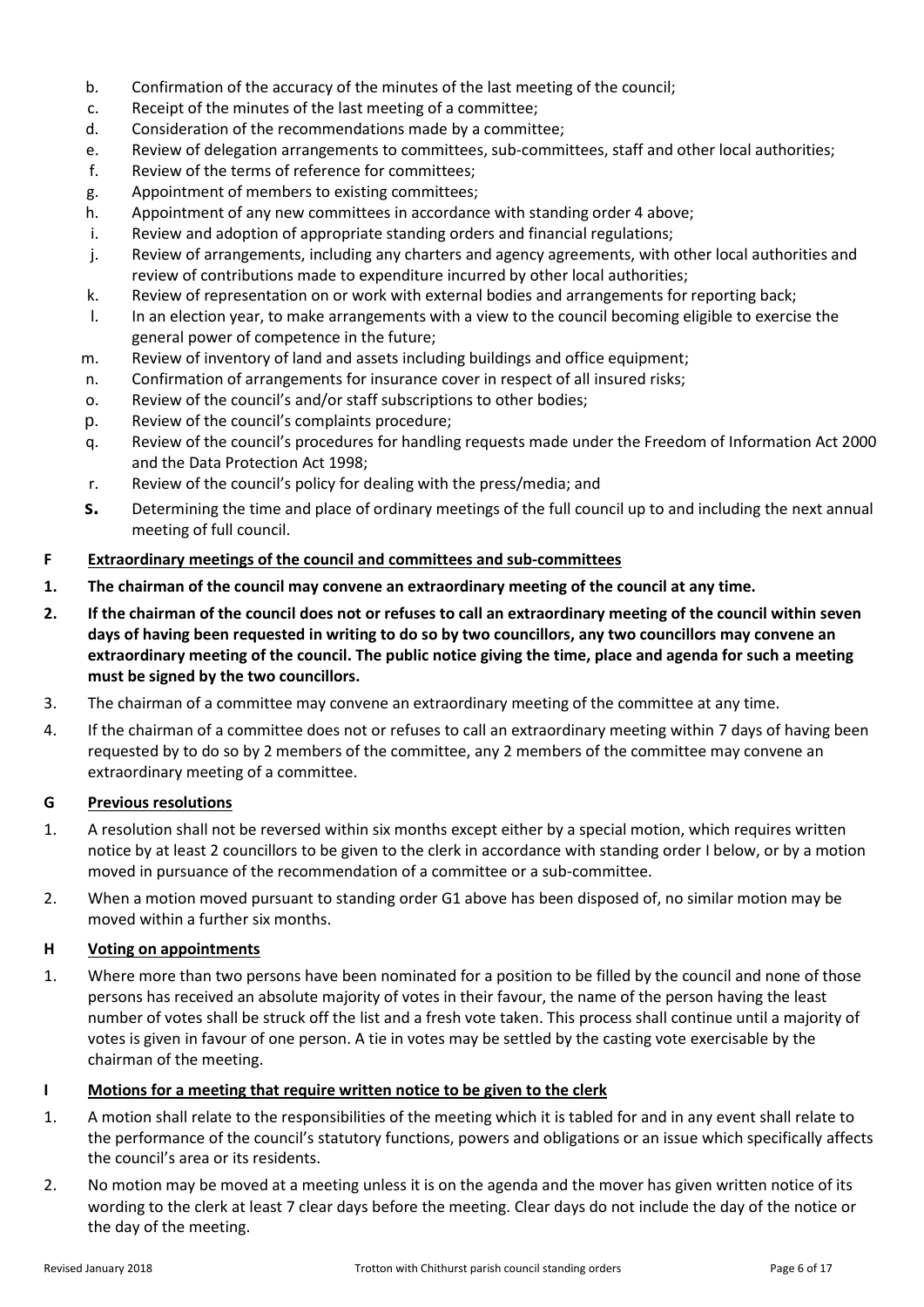- b. Confirmation of the accuracy of the minutes of the last meeting of the council;
- c. Receipt of the minutes of the last meeting of a committee;
- d. Consideration of the recommendations made by a committee;
- e. Review of delegation arrangements to committees, sub-committees, staff and other local authorities;
- f. Review of the terms of reference for committees;
- g. Appointment of members to existing committees;
- h. Appointment of any new committees in accordance with standing order 4 above;
- i. Review and adoption of appropriate standing orders and financial regulations;
- j. Review of arrangements, including any charters and agency agreements, with other local authorities and review of contributions made to expenditure incurred by other local authorities;
- k. Review of representation on or work with external bodies and arrangements for reporting back;
- l. In an election year, to make arrangements with a view to the council becoming eligible to exercise the general power of competence in the future;
- m. Review of inventory of land and assets including buildings and office equipment;
- n. Confirmation of arrangements for insurance cover in respect of all insured risks;
- o. Review of the council's and/or staff subscriptions to other bodies;
- p. Review of the council's complaints procedure;
- q. Review of the council's procedures for handling requests made under the Freedom of Information Act 2000 and the Data Protection Act 1998;
- r. Review of the council's policy for dealing with the press/media; and
- **s.** Determining the time and place of ordinary meetings of the full council up to and including the next annual meeting of full council.

#### <span id="page-5-0"></span>**F Extraordinary meetings of the council and committees and sub-committees**

- **1. The chairman of the council may convene an extraordinary meeting of the council at any time.**
- **2. If the chairman of the council does not or refuses to call an extraordinary meeting of the council within seven days of having been requested in writing to do so by two councillors, any two councillors may convene an extraordinary meeting of the council. The public notice giving the time, place and agenda for such a meeting must be signed by the two councillors.**
- 3. The chairman of a committee may convene an extraordinary meeting of the committee at any time.
- 4. If the chairman of a committee does not or refuses to call an extraordinary meeting within 7 days of having been requested by to do so by 2 members of the committee, any 2 members of the committee may convene an extraordinary meeting of a committee.

#### <span id="page-5-1"></span>**G Previous resolutions**

- <span id="page-5-4"></span>1. A resolution shall not be reversed within six months except either by a special motion, which requires written notice by at least 2 councillors to be given to the clerk in accordance with standing orde[r I](#page-5-3) below, or by a motion moved in pursuance of the recommendation of a committee or a sub-committee.
- 2. When a motion moved pursuant to standing orde[r G1](#page-5-4) above has been disposed of, no similar motion may be moved within a further six months.

#### <span id="page-5-2"></span>**H Voting on appointments**

1. Where more than two persons have been nominated for a position to be filled by the council and none of those persons has received an absolute majority of votes in their favour, the name of the person having the least number of votes shall be struck off the list and a fresh vote taken. This process shall continue until a majority of votes is given in favour of one person. A tie in votes may be settled by the casting vote exercisable by the chairman of the meeting.

#### <span id="page-5-3"></span>**I Motions for a meeting that require written notice to be given to the clerk**

- 1. A motion shall relate to the responsibilities of the meeting which it is tabled for and in any event shall relate to the performance of the council's statutory functions, powers and obligations or an issue which specifically affects the council's area or its residents.
- <span id="page-5-5"></span>2. No motion may be moved at a meeting unless it is on the agenda and the mover has given written notice of its wording to the clerk at least 7 clear days before the meeting. Clear days do not include the day of the notice or the day of the meeting.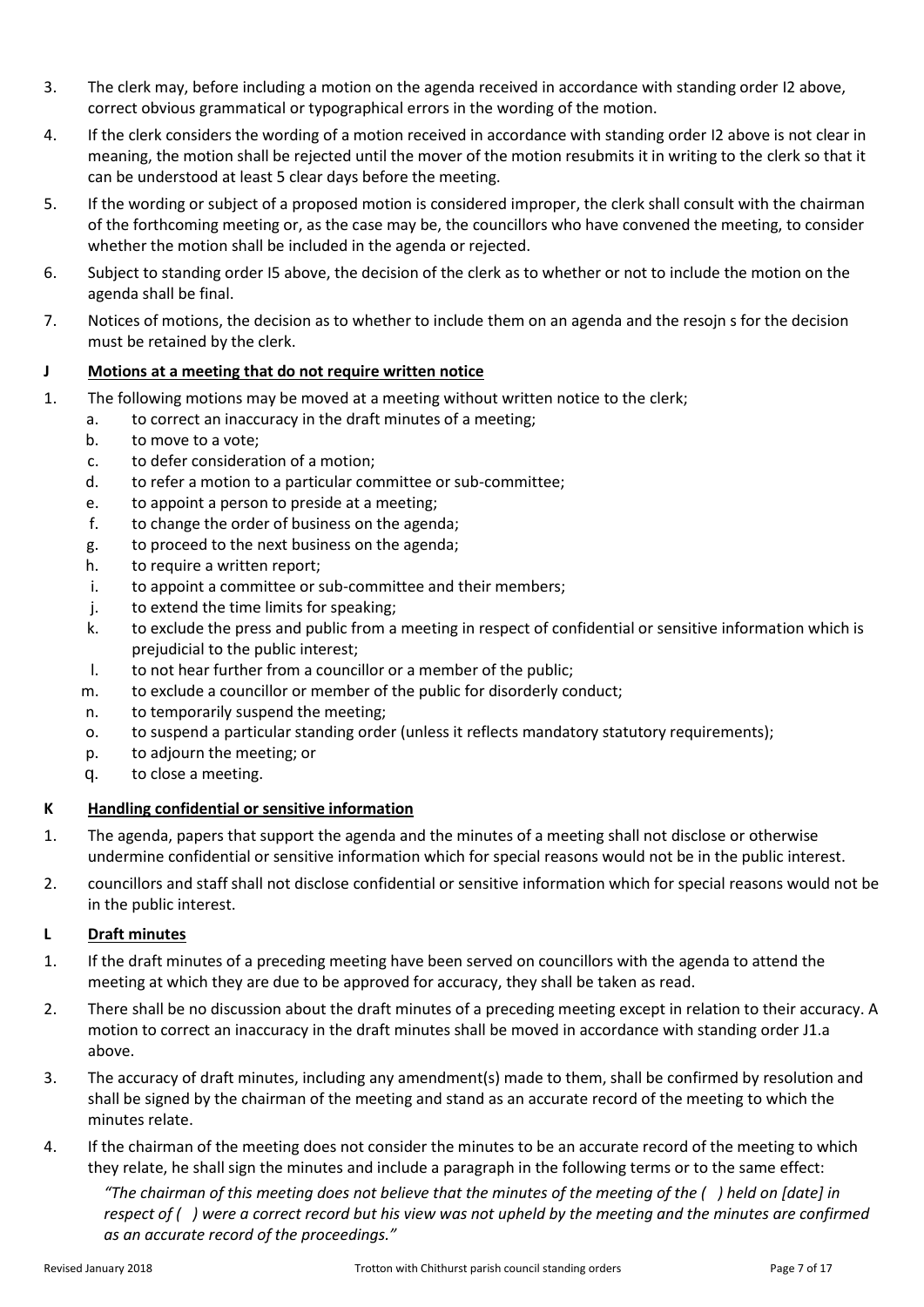- 3. The clerk may, before including a motion on the agenda received in accordance with standing order [I2](#page-5-5) above, correct obvious grammatical or typographical errors in the wording of the motion.
- 4. If the clerk considers the wording of a motion received in accordance with standing order [I2](#page-5-5) above is not clear in meaning, the motion shall be rejected until the mover of the motion resubmits it in writing to the clerk so that it can be understood at least 5 clear days before the meeting.
- <span id="page-6-3"></span>5. If the wording or subject of a proposed motion is considered improper, the clerk shall consult with the chairman of the forthcoming meeting or, as the case may be, the councillors who have convened the meeting, to consider whether the motion shall be included in the agenda or rejected.
- 6. Subject to standing order [I5](#page-6-3) above, the decision of the clerk as to whether or not to include the motion on the agenda shall be final.
- 7. Notices of motions, the decision as to whether to include them on an agenda and the resojn s for the decision must be retained by the clerk.

# <span id="page-6-0"></span>**J Motions at a meeting that do not require written notice**

- <span id="page-6-4"></span>1. The following motions may be moved at a meeting without written notice to the clerk;
	- a. to correct an inaccuracy in the draft minutes of a meeting;
		- b. to move to a vote;
		- c. to defer consideration of a motion;
		- d. to refer a motion to a particular committee or sub-committee;
		- e. to appoint a person to preside at a meeting;
		- f. to change the order of business on the agenda;
		- g. to proceed to the next business on the agenda;
		- h. to require a written report;
		- i. to appoint a committee or sub-committee and their members;
		- j. to extend the time limits for speaking;
		- k. to exclude the press and public from a meeting in respect of confidential or sensitive information which is prejudicial to the public interest;
		- l. to not hear further from a councillor or a member of the public;
		- m. to exclude a councillor or member of the public for disorderly conduct;
		- n. to temporarily suspend the meeting;
		- o. to suspend a particular standing order (unless it reflects mandatory statutory requirements);
		- p. to adjourn the meeting; or
		- q. to close a meeting.

### <span id="page-6-1"></span>**K Handling confidential or sensitive information**

- 1. The agenda, papers that support the agenda and the minutes of a meeting shall not disclose or otherwise undermine confidential or sensitive information which for special reasons would not be in the public interest.
- 2. councillors and staff shall not disclose confidential or sensitive information which for special reasons would not be in the public interest.

# <span id="page-6-2"></span>**L Draft minutes**

- 1. If the draft minutes of a preceding meeting have been served on councillors with the agenda to attend the meeting at which they are due to be approved for accuracy, they shall be taken as read.
- 2. There shall be no discussion about the draft minutes of a preceding meeting except in relation to their accuracy. A motion to correct an inaccuracy in the draft minutes shall be moved in accordance with standing orde[r J1.a](#page-6-4) above.
- 3. The accuracy of draft minutes, including any amendment(s) made to them, shall be confirmed by resolution and shall be signed by the chairman of the meeting and stand as an accurate record of the meeting to which the minutes relate.
- 4. If the chairman of the meeting does not consider the minutes to be an accurate record of the meeting to which they relate, he shall sign the minutes and include a paragraph in the following terms or to the same effect:

*"The chairman of this meeting does not believe that the minutes of the meeting of the ( ) held on [date] in respect of ( ) were a correct record but his view was not upheld by the meeting and the minutes are confirmed as an accurate record of the proceedings."*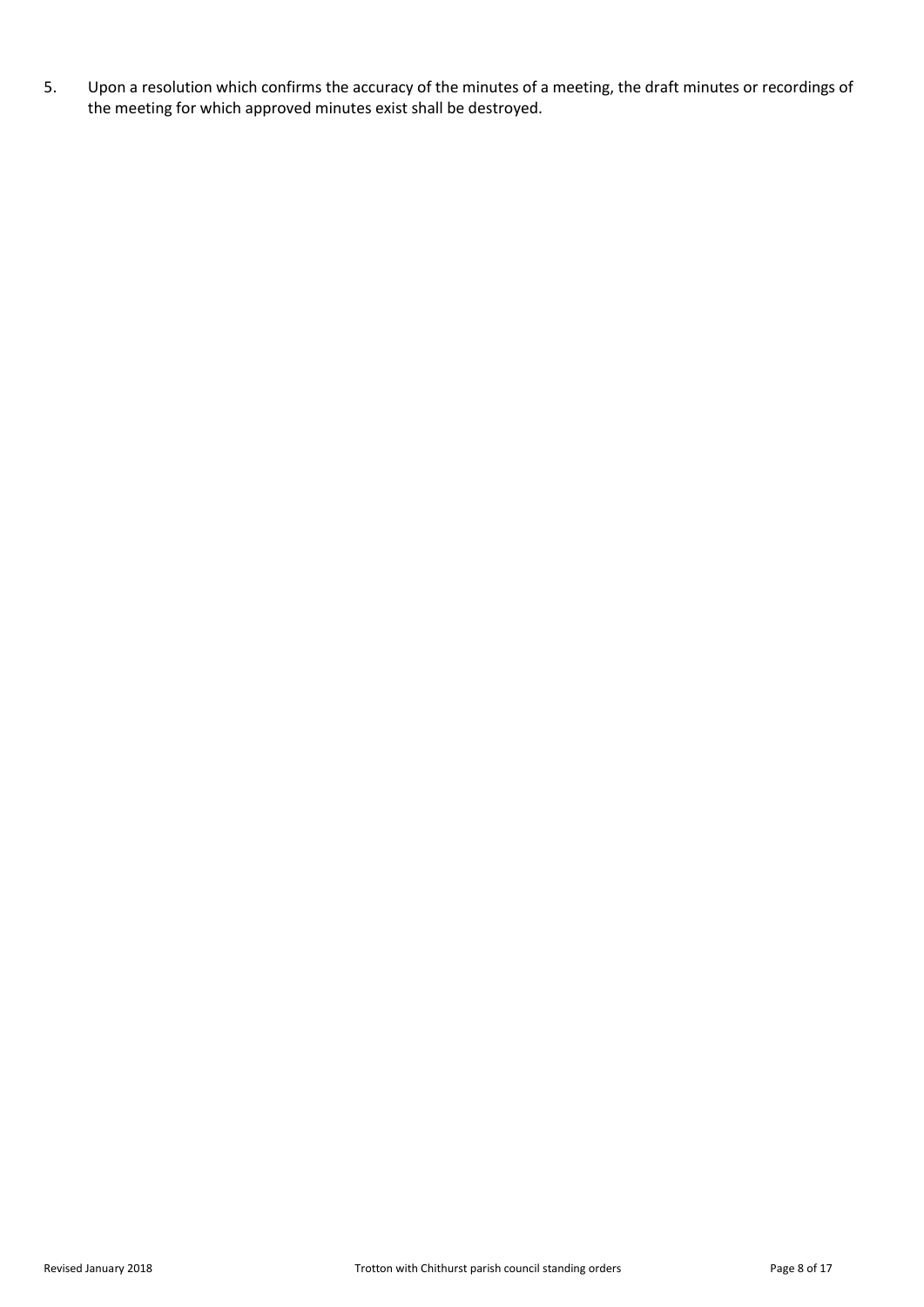5. Upon a resolution which confirms the accuracy of the minutes of a meeting, the draft minutes or recordings of the meeting for which approved minutes exist shall be destroyed.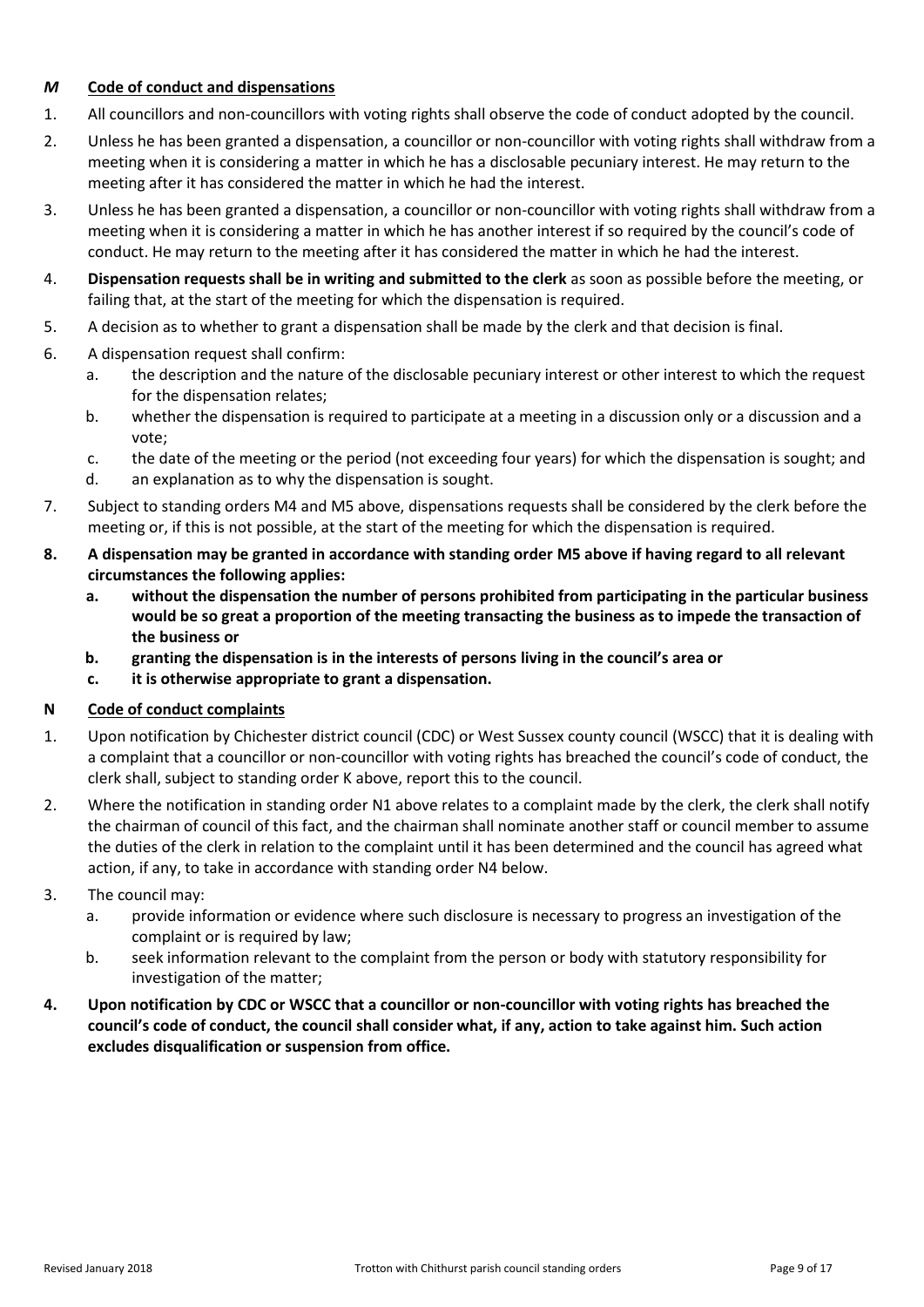### <span id="page-8-0"></span>*M* **Code of conduct and dispensations**

- 1. All councillors and non-councillors with voting rights shall observe the code of conduct adopted by the council.
- 2. Unless he has been granted a dispensation, a councillor or non-councillor with voting rights shall withdraw from a meeting when it is considering a matter in which he has a disclosable pecuniary interest. He may return to the meeting after it has considered the matter in which he had the interest.
- 3. Unless he has been granted a dispensation, a councillor or non-councillor with voting rights shall withdraw from a meeting when it is considering a matter in which he has another interest if so required by the council's code of conduct. He may return to the meeting after it has considered the matter in which he had the interest.
- <span id="page-8-2"></span>4. **Dispensation requests shall be in writing and submitted to the clerk** as soon as possible before the meeting, or failing that, at the start of the meeting for which the dispensation is required.
- <span id="page-8-3"></span>5. A decision as to whether to grant a dispensation shall be made by the clerk and that decision is final.
- 6. A dispensation request shall confirm:
	- a. the description and the nature of the disclosable pecuniary interest or other interest to which the request for the dispensation relates;
	- b. whether the dispensation is required to participate at a meeting in a discussion only or a discussion and a vote;
	- c. the date of the meeting or the period (not exceeding four years) for which the dispensation is sought; and
	- d. an explanation as to why the dispensation is sought.
- 7. Subject to standing order[s M4](#page-8-2) and [M5](#page-8-3) above, dispensations requests shall be considered by the clerk before the meeting or, if this is not possible, at the start of the meeting for which the dispensation is required.
- **8. A dispensation may be granted in accordance with standing order [M5](#page-8-3) above if having regard to all relevant circumstances the following applies:**
	- **a. without the dispensation the number of persons prohibited from participating in the particular business would be so great a proportion of the meeting transacting the business as to impede the transaction of the business or**
	- **b. granting the dispensation is in the interests of persons living in the council's area or**
	- **c. it is otherwise appropriate to grant a dispensation.**

### <span id="page-8-1"></span>**N Code of conduct complaints**

- <span id="page-8-4"></span>1. Upon notification by Chichester district council (CDC) or West Sussex county council (WSCC) that it is dealing with a complaint that a councillor or non-councillor with voting rights has breached the council's code of conduct, the clerk shall, subject to standing order [K](#page-6-1) above, report this to the council.
- 2. Where the notification in standing orde[r N1](#page-8-4) above relates to a complaint made by the clerk, the clerk shall notify the chairman of council of this fact, and the chairman shall nominate another staff or council member to assume the duties of the clerk in relation to the complaint until it has been determined and the council has agreed what action, if any, to take in accordance with standing order [N4](#page-8-5) below.
- 3. The council may:
	- a. provide information or evidence where such disclosure is necessary to progress an investigation of the complaint or is required by law;
	- b. seek information relevant to the complaint from the person or body with statutory responsibility for investigation of the matter;
- <span id="page-8-5"></span>**4. Upon notification by CDC or WSCC that a councillor or non-councillor with voting rights has breached the council's code of conduct, the council shall consider what, if any, action to take against him. Such action excludes disqualification or suspension from office.**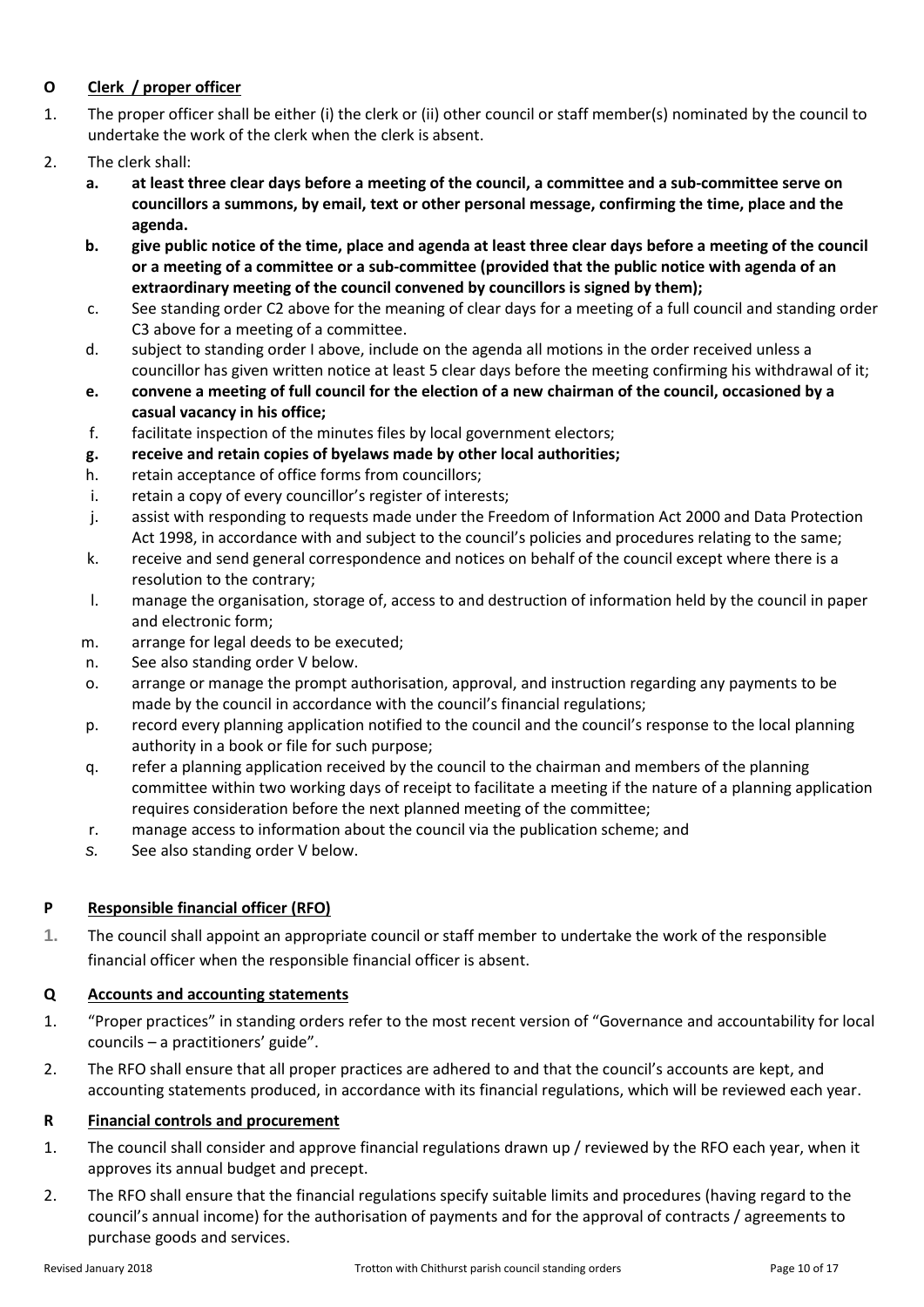# <span id="page-9-0"></span>**O Clerk / proper officer**

- 1. The proper officer shall be either (i) the clerk or (ii) other council or staff member(s) nominated by the council to undertake the work of the clerk when the clerk is absent.
- 2. The clerk shall:
	- **a. at least three clear days before a meeting of the council, a committee and a sub-committee serve on councillors a summons, by email, text or other personal message, confirming the time, place and the agenda.**
	- **b. give public notice of the time, place and agenda at least three clear days before a meeting of the council or a meeting of a committee or a sub-committee (provided that the public notice with agenda of an extraordinary meeting of the council convened by councillors is signed by them);**
	- c. See standing orde[r C2](#page-1-5) above for the meaning of clear days for a meeting of a full council and standing order [C3](#page-1-6) above for a meeting of a committee.
	- d. subject to standing order [I](#page-5-3) above, include on the agenda all motions in the order received unless a councillor has given written notice at least 5 clear days before the meeting confirming his withdrawal of it;
	- **e. convene a meeting of full council for the election of a new chairman of the council, occasioned by a casual vacancy in his office;**
	- f. facilitate inspection of the minutes files by local government electors;
	- **g. receive and retain copies of byelaws made by other local authorities;**
	- h. retain acceptance of office forms from councillors;
	- i. retain a copy of every councillor's register of interests;
	- j. assist with responding to requests made under the Freedom of Information Act 2000 and Data Protection Act 1998, in accordance with and subject to the council's policies and procedures relating to the same;
	- k. receive and send general correspondence and notices on behalf of the council except where there is a resolution to the contrary;
	- l. manage the organisation, storage of, access to and destruction of information held by the council in paper and electronic form;
	- m. arrange for legal deeds to be executed;
	- n. See also standing order [V](#page-11-3) below.
	- o. arrange or manage the prompt authorisation, approval, and instruction regarding any payments to be made by the council in accordance with the council's financial regulations;
	- p. record every planning application notified to the council and the council's response to the local planning authority in a book or file for such purpose;
	- q. refer a planning application received by the council to the chairman and members of the planning committee within two working days of receipt to facilitate a meeting if the nature of a planning application requires consideration before the next planned meeting of the committee;
	- r. manage access to information about the council via the publication scheme; and
	- *s.* See also standing order [V](#page-11-3) below.

# <span id="page-9-1"></span>**P Responsible financial officer (RFO)**

**1.** The council shall appoint an appropriate council or staff member to undertake the work of the responsible financial officer when the responsible financial officer is absent.

### <span id="page-9-2"></span>**Q Accounts and accounting statements**

- 1. "Proper practices" in standing orders refer to the most recent version of "Governance and accountability for local councils – a practitioners' guide".
- 2. The RFO shall ensure that all proper practices are adhered to and that the council's accounts are kept, and accounting statements produced, in accordance with its financial regulations, which will be reviewed each year.

### <span id="page-9-3"></span>**R Financial controls and procurement**

- 1. The council shall consider and approve financial regulations drawn up / reviewed by the RFO each year, when it approves its annual budget and precept.
- 2. The RFO shall ensure that the financial regulations specify suitable limits and procedures (having regard to the council's annual income) for the authorisation of payments and for the approval of contracts / agreements to purchase goods and services.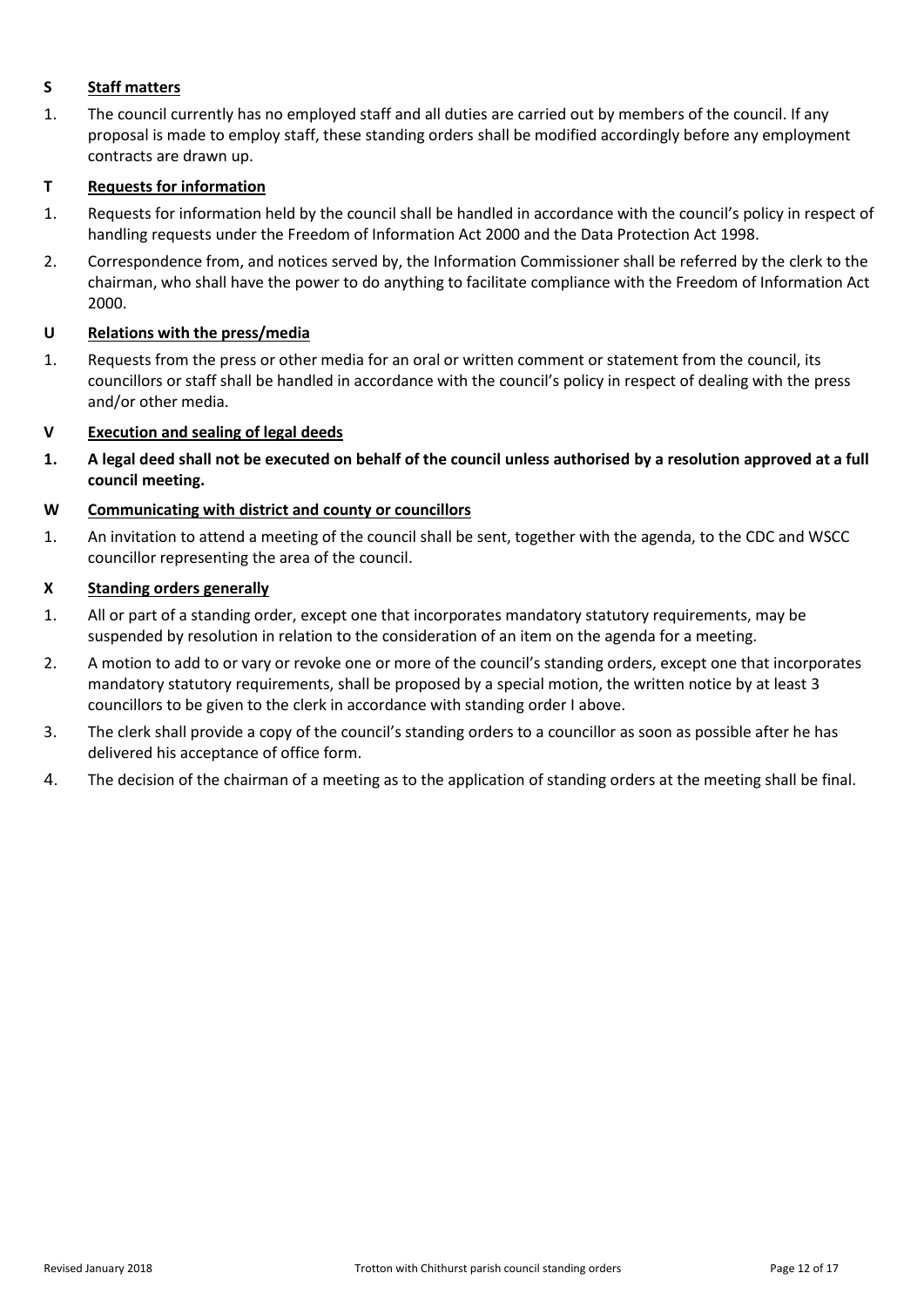# <span id="page-11-0"></span>**S Staff matters**

1. The council currently has no employed staff and all duties are carried out by members of the council. If any proposal is made to employ staff, these standing orders shall be modified accordingly before any employment contracts are drawn up.

# <span id="page-11-1"></span>**T Requests for information**

- 1. Requests for information held by the council shall be handled in accordance with the council's policy in respect of handling requests under the Freedom of Information Act 2000 and the Data Protection Act 1998.
- 2. Correspondence from, and notices served by, the Information Commissioner shall be referred by the clerk to the chairman, who shall have the power to do anything to facilitate compliance with the Freedom of Information Act 2000.

### <span id="page-11-2"></span>**U Relations with the press/media**

1. Requests from the press or other media for an oral or written comment or statement from the council, its councillors or staff shall be handled in accordance with the council's policy in respect of dealing with the press and/or other media.

# <span id="page-11-3"></span>**V Execution and sealing of legal deeds**

**1. A legal deed shall not be executed on behalf of the council unless authorised by a resolution approved at a full council meeting.**

### <span id="page-11-4"></span>**W Communicating with district and county or councillors**

1. An invitation to attend a meeting of the council shall be sent, together with the agenda, to the CDC and WSCC councillor representing the area of the council.

### <span id="page-11-5"></span>**X Standing orders generally**

- 1. All or part of a standing order, except one that incorporates mandatory statutory requirements, may be suspended by resolution in relation to the consideration of an item on the agenda for a meeting.
- 2. A motion to add to or vary or revoke one or more of the council's standing orders, except one that incorporates mandatory statutory requirements, shall be proposed by a special motion, the written notice by at least 3 councillors to be given to the clerk in accordance with standing orde[r I](#page-5-3) above.
- 3. The clerk shall provide a copy of the council's standing orders to a councillor as soon as possible after he has delivered his acceptance of office form.
- 4. The decision of the chairman of a meeting as to the application of standing orders at the meeting shall be final.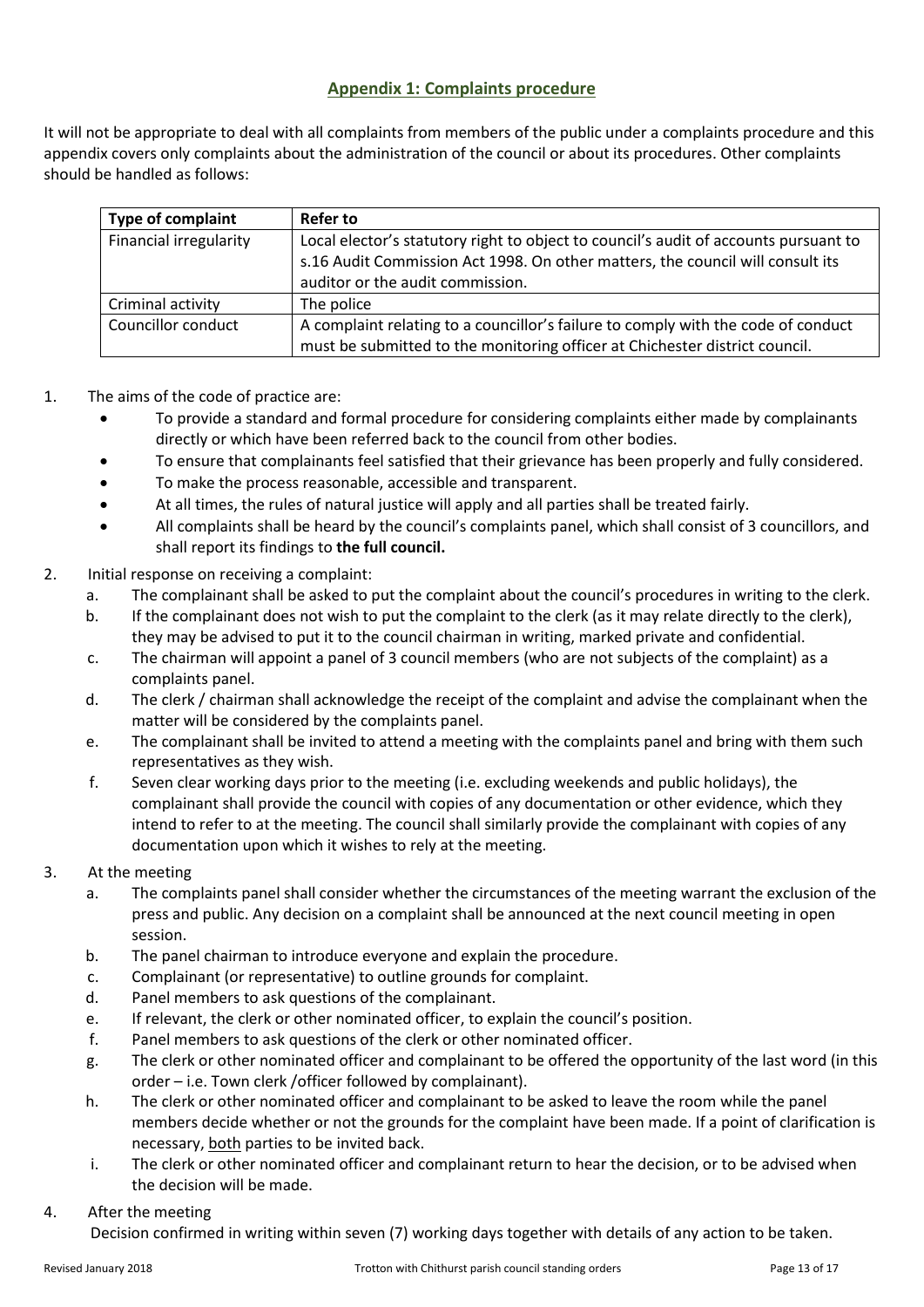# **Appendix 1: Complaints procedure**

<span id="page-12-0"></span>It will not be appropriate to deal with all complaints from members of the public under a complaints procedure and this appendix covers only complaints about the administration of the council or about its procedures. Other complaints should be handled as follows:

| <b>Type of complaint</b> | Refer to                                                                             |
|--------------------------|--------------------------------------------------------------------------------------|
| Financial irregularity   | Local elector's statutory right to object to council's audit of accounts pursuant to |
|                          | s.16 Audit Commission Act 1998. On other matters, the council will consult its       |
|                          | auditor or the audit commission.                                                     |
| Criminal activity        | The police                                                                           |
| Councillor conduct       | A complaint relating to a councillor's failure to comply with the code of conduct    |
|                          | must be submitted to the monitoring officer at Chichester district council.          |

- 1. The aims of the code of practice are:
	- To provide a standard and formal procedure for considering complaints either made by complainants directly or which have been referred back to the council from other bodies.
	- To ensure that complainants feel satisfied that their grievance has been properly and fully considered.
	- To make the process reasonable, accessible and transparent.
	- At all times, the rules of natural justice will apply and all parties shall be treated fairly.
	- All complaints shall be heard by the council's complaints panel, which shall consist of 3 councillors, and shall report its findings to **the full council.**
- 2. Initial response on receiving a complaint:
	- a. The complainant shall be asked to put the complaint about the council's procedures in writing to the clerk.
	- b. If the complainant does not wish to put the complaint to the clerk (as it may relate directly to the clerk), they may be advised to put it to the council chairman in writing, marked private and confidential.
	- c. The chairman will appoint a panel of 3 council members (who are not subjects of the complaint) as a complaints panel.
	- d. The clerk / chairman shall acknowledge the receipt of the complaint and advise the complainant when the matter will be considered by the complaints panel.
	- e. The complainant shall be invited to attend a meeting with the complaints panel and bring with them such representatives as they wish.
	- f. Seven clear working days prior to the meeting (i.e. excluding weekends and public holidays), the complainant shall provide the council with copies of any documentation or other evidence, which they intend to refer to at the meeting. The council shall similarly provide the complainant with copies of any documentation upon which it wishes to rely at the meeting.
- 3. At the meeting
	- a. The complaints panel shall consider whether the circumstances of the meeting warrant the exclusion of the press and public. Any decision on a complaint shall be announced at the next council meeting in open session.
	- b. The panel chairman to introduce everyone and explain the procedure.
	- c. Complainant (or representative) to outline grounds for complaint.
	- d. Panel members to ask questions of the complainant.
	- e. If relevant, the clerk or other nominated officer, to explain the council's position.
	- f. Panel members to ask questions of the clerk or other nominated officer.
	- g. The clerk or other nominated officer and complainant to be offered the opportunity of the last word (in this order – i.e. Town clerk /officer followed by complainant).
	- h. The clerk or other nominated officer and complainant to be asked to leave the room while the panel members decide whether or not the grounds for the complaint have been made. If a point of clarification is necessary, both parties to be invited back.
	- i. The clerk or other nominated officer and complainant return to hear the decision, or to be advised when the decision will be made.
- 4. After the meeting

Decision confirmed in writing within seven (7) working days together with details of any action to be taken.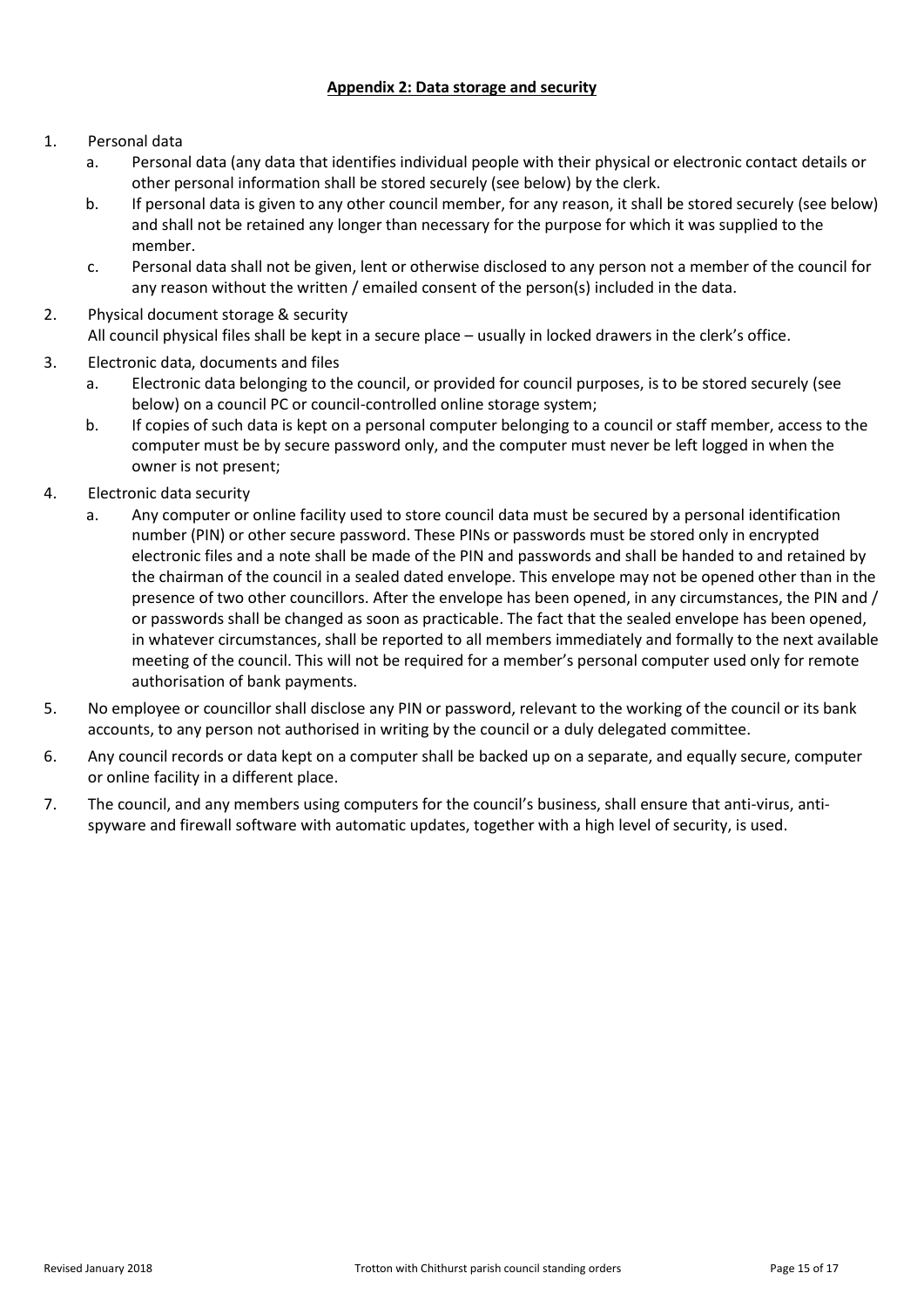### **Appendix 2: Data storage and security**

### <span id="page-14-0"></span>1. Personal data

- a. Personal data (any data that identifies individual people with their physical or electronic contact details or other personal information shall be stored securely (see below) by the clerk.
- b. If personal data is given to any other council member, for any reason, it shall be stored securely (see below) and shall not be retained any longer than necessary for the purpose for which it was supplied to the member.
- c. Personal data shall not be given, lent or otherwise disclosed to any person not a member of the council for any reason without the written / emailed consent of the person(s) included in the data.
- 2. Physical document storage & security All council physical files shall be kept in a secure place – usually in locked drawers in the clerk's office.
- 3. Electronic data, documents and files
	- a. Electronic data belonging to the council, or provided for council purposes, is to be stored securely (see below) on a council PC or council-controlled online storage system;
	- b. If copies of such data is kept on a personal computer belonging to a council or staff member, access to the computer must be by secure password only, and the computer must never be left logged in when the owner is not present;
- 4. Electronic data security
	- a. Any computer or online facility used to store council data must be secured by a personal identification number (PIN) or other secure password. These PINs or passwords must be stored only in encrypted electronic files and a note shall be made of the PIN and passwords and shall be handed to and retained by the chairman of the council in a sealed dated envelope. This envelope may not be opened other than in the presence of two other councillors. After the envelope has been opened, in any circumstances, the PIN and / or passwords shall be changed as soon as practicable. The fact that the sealed envelope has been opened, in whatever circumstances, shall be reported to all members immediately and formally to the next available meeting of the council. This will not be required for a member's personal computer used only for remote authorisation of bank payments.
- 5. No employee or councillor shall disclose any PIN or password, relevant to the working of the council or its bank accounts, to any person not authorised in writing by the council or a duly delegated committee.
- 6. Any council records or data kept on a computer shall be backed up on a separate, and equally secure, computer or online facility in a different place.
- 7. The council, and any members using computers for the council's business, shall ensure that anti-virus, antispyware and firewall software with automatic updates, together with a high level of security, is used.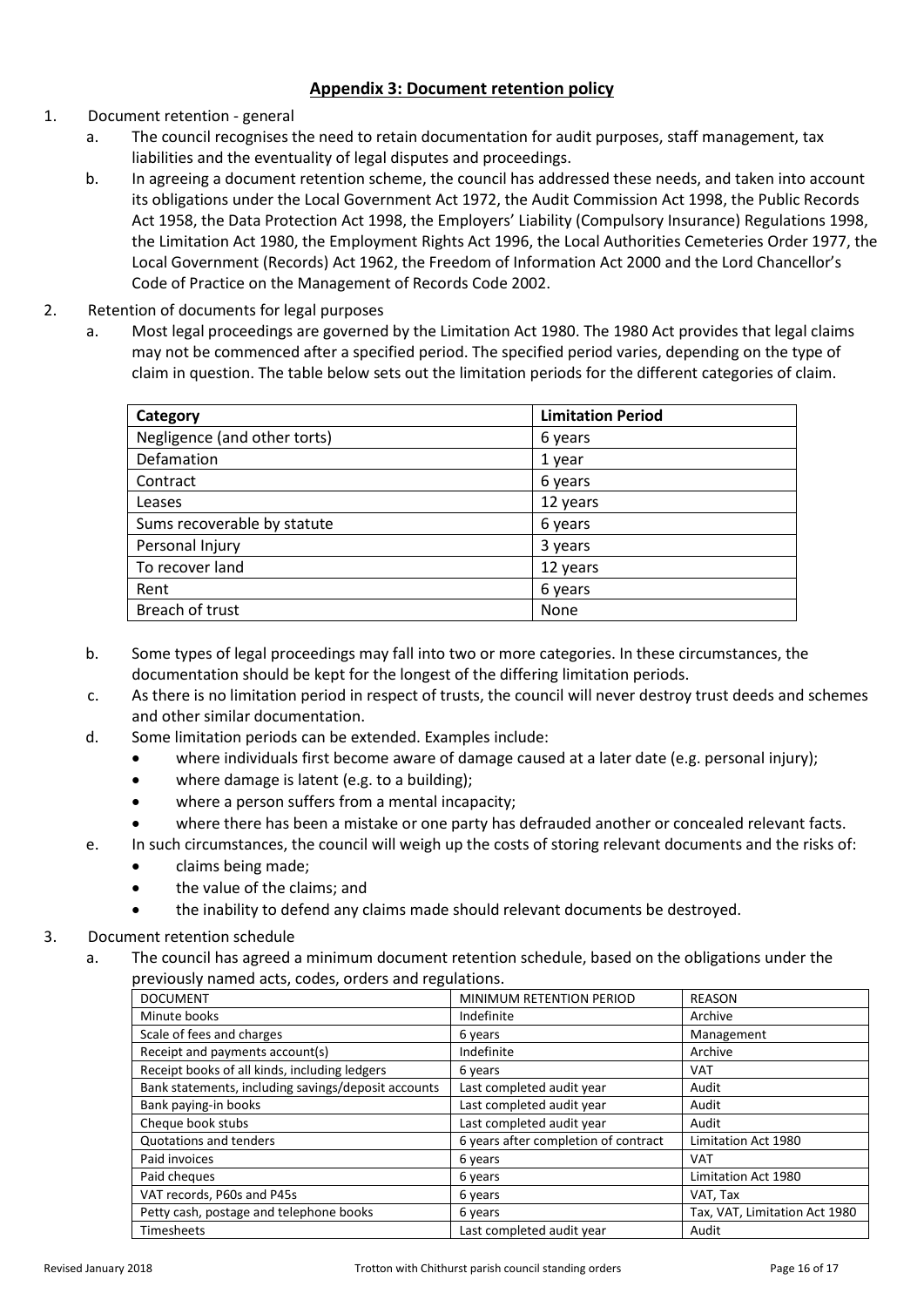# **Appendix 3: Document retention policy**

- <span id="page-15-0"></span>1. Document retention - general
	- a. The council recognises the need to retain documentation for audit purposes, staff management, tax liabilities and the eventuality of legal disputes and proceedings.
	- b. In agreeing a document retention scheme, the council has addressed these needs, and taken into account its obligations under the Local Government Act 1972, the Audit Commission Act 1998, the Public Records Act 1958, the Data Protection Act 1998, the Employers' Liability (Compulsory Insurance) Regulations 1998, the Limitation Act 1980, the Employment Rights Act 1996, the Local Authorities Cemeteries Order 1977, the Local Government (Records) Act 1962, the Freedom of Information Act 2000 and the Lord Chancellor's Code of Practice on the Management of Records Code 2002.
- 2. Retention of documents for legal purposes
	- a. Most legal proceedings are governed by the Limitation Act 1980. The 1980 Act provides that legal claims may not be commenced after a specified period. The specified period varies, depending on the type of claim in question. The table below sets out the limitation periods for the different categories of claim.

| Category                     | <b>Limitation Period</b> |
|------------------------------|--------------------------|
| Negligence (and other torts) | 6 years                  |
| Defamation                   | 1 year                   |
| Contract                     | 6 years                  |
| Leases                       | 12 years                 |
| Sums recoverable by statute  | 6 years                  |
| Personal Injury              | 3 years                  |
| To recover land              | 12 years                 |
| Rent                         | 6 years                  |
| Breach of trust              | None                     |

- b. Some types of legal proceedings may fall into two or more categories. In these circumstances, the documentation should be kept for the longest of the differing limitation periods.
- c. As there is no limitation period in respect of trusts, the council will never destroy trust deeds and schemes and other similar documentation.
- d. Some limitation periods can be extended. Examples include:
	- where individuals first become aware of damage caused at a later date (e.g. personal injury);
	- where damage is latent (e.g. to a building);
	- where a person suffers from a mental incapacity;
	- where there has been a mistake or one party has defrauded another or concealed relevant facts.
- e. In such circumstances, the council will weigh up the costs of storing relevant documents and the risks of:
	- claims being made;
	- the value of the claims; and
	- the inability to defend any claims made should relevant documents be destroyed.

### 3. Document retention schedule

a. The council has agreed a minimum document retention schedule, based on the obligations under the previously named acts, codes, orders and regulations.

| <b>DOCUMENT</b>                                     | MINIMUM RETENTION PERIOD             | <b>REASON</b>                 |
|-----------------------------------------------------|--------------------------------------|-------------------------------|
| Minute books                                        | Indefinite                           | Archive                       |
| Scale of fees and charges                           | 6 years                              | Management                    |
| Receipt and payments account(s)                     | Indefinite                           | Archive                       |
| Receipt books of all kinds, including ledgers       | 6 years                              | <b>VAT</b>                    |
| Bank statements, including savings/deposit accounts | Last completed audit year            | Audit                         |
| Bank paying-in books                                | Last completed audit year            | Audit                         |
| Cheque book stubs                                   | Last completed audit year            | Audit                         |
| Quotations and tenders                              | 6 years after completion of contract | Limitation Act 1980           |
| Paid invoices                                       | 6 years                              | <b>VAT</b>                    |
| Paid cheques                                        | 6 years                              | Limitation Act 1980           |
| VAT records, P60s and P45s                          | 6 years                              | VAT, Tax                      |
| Petty cash, postage and telephone books             | 6 years                              | Tax, VAT, Limitation Act 1980 |
| <b>Timesheets</b>                                   | Last completed audit year            | Audit                         |